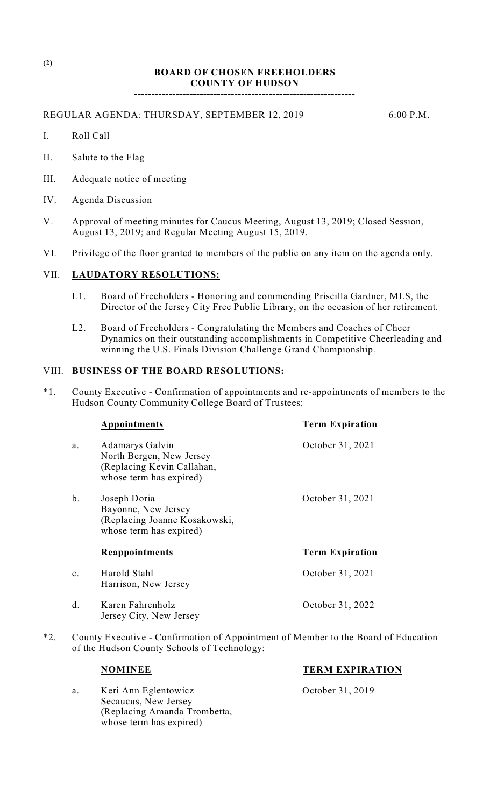# **BOARD OF CHOSEN FREEHOLDERS COUNTY OF HUDSON**

**----------------------------------------------------------------**

REGULAR AGENDA: THURSDAY, SEPTEMBER 12, 2019 6:00 P.M.

- I. Roll Call
- II. Salute to the Flag
- III. Adequate notice of meeting
- IV. Agenda Discussion
- V. Approval of meeting minutes for Caucus Meeting, August 13, 2019; Closed Session, August 13, 2019; and Regular Meeting August 15, 2019.
- VI. Privilege of the floor granted to members of the public on any item on the agenda only.

#### VII. **LAUDATORY RESOLUTIONS:**

- L1. Board of Freeholders Honoring and commending Priscilla Gardner, MLS, the Director of the Jersey City Free Public Library, on the occasion of her retirement.
- L2. Board of Freeholders Congratulating the Members and Coaches of Cheer Dynamics on their outstanding accomplishments in Competitive Cheerleading and winning the U.S. Finals Division Challenge Grand Championship.

#### VIII. **BUSINESS OF THE BOARD RESOLUTIONS:**

\*1. County Executive - Confirmation of appointments and re-appointments of members to the Hudson County Community College Board of Trustees:

|                | Appointments                                                                                         | <b>Term Expiration</b> |
|----------------|------------------------------------------------------------------------------------------------------|------------------------|
| a.             | Adamarys Galvin<br>North Bergen, New Jersey<br>(Replacing Kevin Callahan,<br>whose term has expired) | October 31, 2021       |
| b.             | Joseph Doria<br>Bayonne, New Jersey<br>(Replacing Joanne Kosakowski,<br>whose term has expired)      | October 31, 2021       |
|                | <b>Reappointments</b>                                                                                | <b>Term Expiration</b> |
| $\mathbf{c}$ . | Harold Stahl<br>Harrison, New Jersey                                                                 | October 31, 2021       |
| d.             | Karen Fahrenholz<br>Jersey City, New Jersey                                                          | October 31, 2022       |

\*2. County Executive - Confirmation of Appointment of Member to the Board of Education of the Hudson County Schools of Technology:

a. Keri Ann Eglentowicz October 31, 2019 Secaucus, New Jersey (Replacing Amanda Trombetta, whose term has expired)

# **NOMINEE TERM EXPIRATION**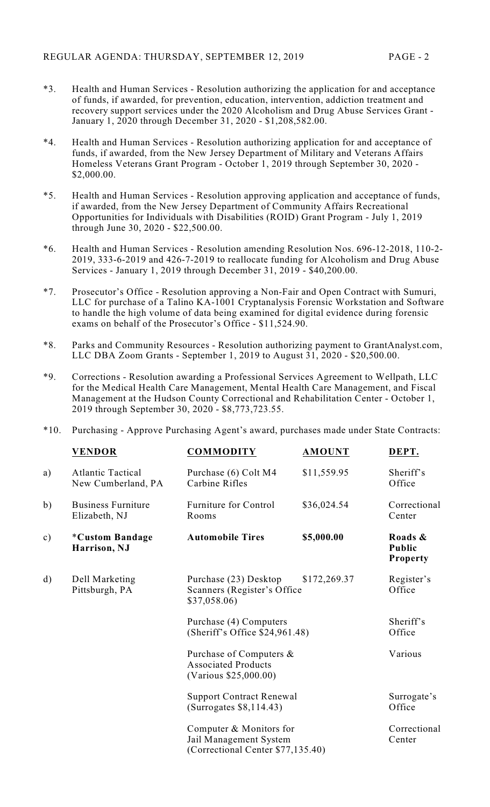- \*3. Health and Human Services Resolution authorizing the application for and acceptance of funds, if awarded, for prevention, education, intervention, addiction treatment and recovery support services under the 2020 Alcoholism and Drug Abuse Services Grant - January 1, 2020 through December 31, 2020 - \$1,208,582.00.
- \*4. Health and Human Services Resolution authorizing application for and acceptance of funds, if awarded, from the New Jersey Department of Military and Veterans Affairs Homeless Veterans Grant Program - October 1, 2019 through September 30, 2020 - \$2,000.00.
- \*5. Health and Human Services Resolution approving application and acceptance of funds, if awarded, from the New Jersey Department of Community Affairs Recreational Opportunities for Individuals with Disabilities (ROID) Grant Program - July 1, 2019 through June 30, 2020 - \$22,500.00.
- \*6. Health and Human Services Resolution amending Resolution Nos. 696-12-2018, 110-2- 2019, 333-6-2019 and 426-7-2019 to reallocate funding for Alcoholism and Drug Abuse Services - January 1, 2019 through December 31, 2019 - \$40,200.00.
- \*7. Prosecutor's Office Resolution approving a Non-Fair and Open Contract with Sumuri, LLC for purchase of a Talino KA-1001 Cryptanalysis Forensic Workstation and Software to handle the high volume of data being examined for digital evidence during forensic exams on behalf of the Prosecutor's Office - \$11,524.90.
- \*8. Parks and Community Resources Resolution authorizing payment to GrantAnalyst.com, LLC DBA Zoom Grants - September 1, 2019 to August 31, 2020 - \$20,500.00.
- \*9. Corrections Resolution awarding a Professional Services Agreement to Wellpath, LLC for the Medical Health Care Management, Mental Health Care Management, and Fiscal Management at the Hudson County Correctional and Rehabilitation Center - October 1, 2019 through September 30, 2020 - \$8,773,723.55.

|  |  | *10. Purchasing - Approve Purchasing Agent's award, purchases made under State Contracts: |  |  |  |  |
|--|--|-------------------------------------------------------------------------------------------|--|--|--|--|
|--|--|-------------------------------------------------------------------------------------------|--|--|--|--|

|               | <b>VENDOR</b>                                  | <b>COMMODITY</b>                                                                       | <b>AMOUNT</b> | DEPT.                                       |
|---------------|------------------------------------------------|----------------------------------------------------------------------------------------|---------------|---------------------------------------------|
| a)            | <b>Atlantic Tactical</b><br>New Cumberland, PA | Purchase (6) Colt M4<br>Carbine Rifles                                                 | \$11,559.95   | Sheriff's<br>Office                         |
| b)            | <b>Business Furniture</b><br>Elizabeth, NJ     | Furniture for Control<br>Rooms                                                         | \$36,024.54   | Correctional<br>Center                      |
| $\mathbf{c})$ | <i><b>*Custom Bandage</b></i><br>Harrison, NJ  | <b>Automobile Tires</b>                                                                | \$5,000.00    | Roads &<br><b>Public</b><br><b>Property</b> |
| $\mathbf{d}$  | Dell Marketing<br>Pittsburgh, PA               | \$172,269.37<br>Purchase (23) Desktop<br>Scanners (Register's Office)<br>\$37,058.06)  |               | Register's<br>Office                        |
|               |                                                | Purchase (4) Computers<br>(Sheriff's Office \$24,961.48)                               |               | Sheriff's<br>Office                         |
|               |                                                | Purchase of Computers &<br><b>Associated Products</b><br>(Various \$25,000.00)         |               | Various                                     |
|               |                                                | <b>Support Contract Renewal</b><br>(Surrogates \$8,114.43)                             |               | Surrogate's<br>Office                       |
|               |                                                | Computer & Monitors for<br>Jail Management System<br>(Correctional Center \$77,135.40) |               | Correctional<br>Center                      |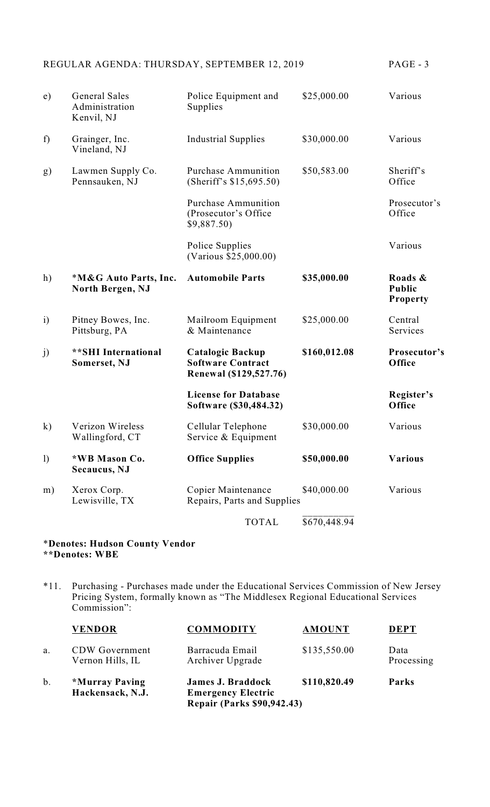|  |  | , |  |  |
|--|--|---|--|--|
|--|--|---|--|--|

| e)               | <b>General Sales</b><br>Administration<br>Kenvil, NJ | Police Equipment and<br>Supplies                                       | \$25,000.00  | Various                                     |
|------------------|------------------------------------------------------|------------------------------------------------------------------------|--------------|---------------------------------------------|
| f)               | Grainger, Inc.<br>Vineland, NJ                       | <b>Industrial Supplies</b>                                             | \$30,000.00  | Various                                     |
| g)               | Lawmen Supply Co.<br>Pennsauken, NJ                  | <b>Purchase Ammunition</b><br>(Sheriff's \$15,695.50)                  | \$50,583.00  | Sheriff's<br>Office                         |
|                  |                                                      | <b>Purchase Ammunition</b><br>(Prosecutor's Office<br>\$9,887.50)      |              | Prosecutor's<br>Office                      |
|                  |                                                      | Police Supplies<br>(Various \$25,000.00)                               |              | Various                                     |
| h)               | *M&G Auto Parts, Inc.<br>North Bergen, NJ            | <b>Automobile Parts</b>                                                | \$35,000.00  | Roads &<br><b>Public</b><br><b>Property</b> |
| $\mathbf{i}$     | Pitney Bowes, Inc.<br>Pittsburg, PA                  | Mailroom Equipment<br>& Maintenance                                    | \$25,000.00  | Central<br>Services                         |
| j)               | ** SHI International<br>Somerset, NJ                 | Catalogic Backup<br><b>Software Contract</b><br>Renewal (\$129,527.76) | \$160,012.08 | Prosecutor's<br>Office                      |
|                  |                                                      | <b>License for Database</b><br>Software (\$30,484.32)                  |              | Register's<br>Office                        |
| $\mathbf{k}$     | Verizon Wireless<br>Wallingford, CT                  | Cellular Telephone<br>Service & Equipment                              | \$30,000.00  | Various                                     |
| $\left( \right)$ | *WB Mason Co.<br>Secaucus, NJ                        | <b>Office Supplies</b>                                                 | \$50,000.00  | <b>Various</b>                              |
| m)               | Xerox Corp.<br>Lewisville, TX                        | Copier Maintenance<br>Repairs, Parts and Supplies                      | \$40,000.00  | Various                                     |
|                  |                                                      | <b>TOTAL</b>                                                           | \$670,448.94 |                                             |

#### \***Denotes: Hudson County Vendor \*\*Denotes: WBE**

\*11. Purchasing - Purchases made under the Educational Services Commission of New Jersey Pricing System, formally known as "The Middlesex Regional Educational Services Commission":

|    | <b>VENDOR</b>                             | <b>COMMODITY</b>                                                                           | <b>AMOUNT</b> |                    |
|----|-------------------------------------------|--------------------------------------------------------------------------------------------|---------------|--------------------|
| a. | <b>CDW</b> Government<br>Vernon Hills, IL | Barracuda Email<br>Archiver Upgrade                                                        | \$135,550.00  | Data<br>Processing |
| b. | *Murray Paving<br>Hackensack, N.J.        | <b>James J. Braddock</b><br><b>Emergency Electric</b><br><b>Repair (Parks \$90,942.43)</b> | \$110,820.49  | Parks              |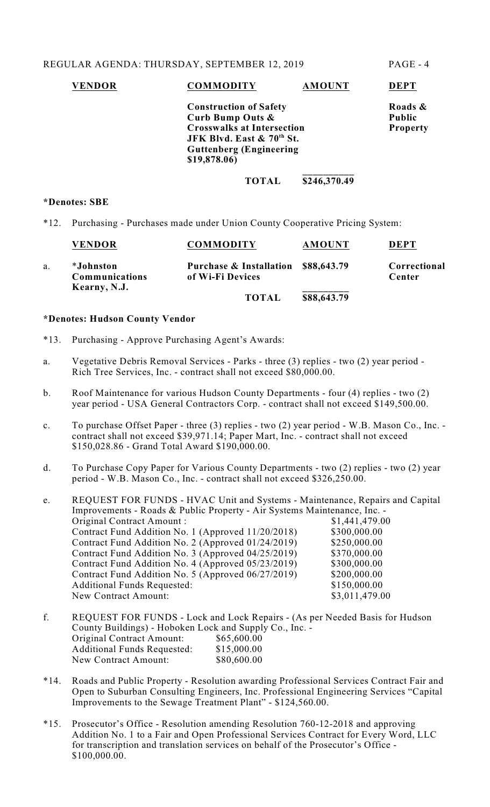# **VENDOR COMMODITY AMOUNT DEPT Construction of Safety Roads &**<br> **Curb Bump Outs &** Public

**Curb Bump** Outs & **Crosswalks at Intersection Property JFK Blvd. East & 70 St. th Guttenberg (Engineering \$19,878.06) \_\_\_\_\_\_\_\_\_\_**

# **TOTAL \$246,370.49**

#### **\*Denotes: SBE**

\*12. Purchasing - Purchases made under Union County Cooperative Pricing System:

| <b>VENDOR</b>                               | <b>COMMODITY</b>                                        | <b>AMOUNT</b> | <b>DEPT</b>            |
|---------------------------------------------|---------------------------------------------------------|---------------|------------------------|
| *Johnston<br>Communications<br>Kearny, N.J. | Purchase & Installation \$88,643.79<br>of Wi-Fi Devices |               | Correctional<br>Center |
|                                             | <b>TOTAL</b>                                            | \$88,643.79   |                        |

## **\*Denotes: Hudson County Vendor**

- \*13. Purchasing Approve Purchasing Agent's Awards:
- a. Vegetative Debris Removal Services Parks three (3) replies two (2) year period Rich Tree Services, Inc. - contract shall not exceed \$80,000.00.
- b. Roof Maintenance for various Hudson County Departments four (4) replies two (2) year period - USA General Contractors Corp. - contract shall not exceed \$149,500.00.
- c. To purchase Offset Paper three (3) replies two (2) year period W.B. Mason Co., Inc. contract shall not exceed \$39,971.14; Paper Mart, Inc. - contract shall not exceed \$150,028.86 - Grand Total Award \$190,000.00.
- d. To Purchase Copy Paper for Various County Departments two (2) replies two (2) year period - W.B. Mason Co., Inc. - contract shall not exceed \$326,250.00.

e. REQUEST FOR FUNDS - HVAC Unit and Systems - Maintenance, Repairs and Capital Improvements - Roads & Public Property - Air Systems Maintenance, Inc. - Original Contract Amount :  $$1,441,479.00$ Contract Fund Addition No. 1 (Approved 11/20/2018) \$300,000.00 Contract Fund Addition No. 2 (Approved  $01/24/2019$ ) \$250,000.00 Contract Fund Addition No. 3 (Approved  $04/25/2019$ ) \$370,000.00 Contract Fund Addition No. 4 (Approved 05/23/2019) \$300,000.00<br>Contract Fund Addition No. 5 (Approved 06/27/2019) \$200,000.00 Contract Fund Addition No. 5 (Approved 06/27/2019) Additional Funds Requested:  $$150,000.00$ New Contract Amount: \$3,011,479.00

- f. REQUEST FOR FUNDS Lock and Lock Repairs (As per Needed Basis for Hudson County Buildings) - Hoboken Lock and Supply Co., Inc. - Original Contract Amount: \$65,600.00 Additional Funds Requested: \$15,000.00<br>New Contract Amount: \$80,600.00 New Contract Amount:
- \*14. Roads and Public Property Resolution awarding Professional Services Contract Fair and Open to Suburban Consulting Engineers, Inc. Professional Engineering Services "Capital Improvements to the Sewage Treatment Plant" - \$124,560.00.
- \*15. Prosecutor's Office Resolution amending Resolution 760-12-2018 and approving Addition No. 1 to a Fair and Open Professional Services Contract for Every Word, LLC for transcription and translation services on behalf of the Prosecutor's Office - \$100,000.00.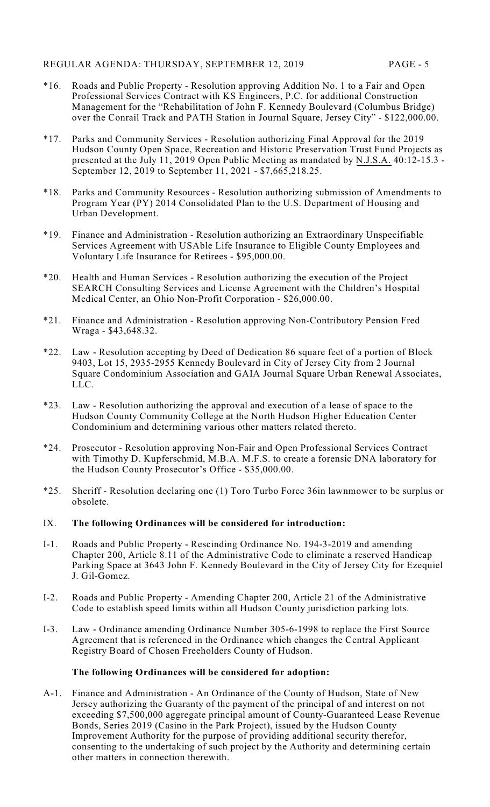- \*16. Roads and Public Property Resolution approving Addition No. 1 to a Fair and Open Professional Services Contract with KS Engineers, P.C. for additional Construction Management for the "Rehabilitation of John F. Kennedy Boulevard (Columbus Bridge) over the Conrail Track and PATH Station in Journal Square, Jersey City" - \$122,000.00.
- \*17. Parks and Community Services Resolution authorizing Final Approval for the 2019 Hudson County Open Space, Recreation and Historic Preservation Trust Fund Projects as presented at the July 11, 2019 Open Public Meeting as mandated by N.J.S.A. 40:12-15.3 -September 12, 2019 to September 11, 2021 - \$7,665,218.25.
- \*18. Parks and Community Resources Resolution authorizing submission of Amendments to Program Year (PY) 2014 Consolidated Plan to the U.S. Department of Housing and Urban Development.
- \*19. Finance and Administration Resolution authorizing an Extraordinary Unspecifiable Services Agreement with USAble Life Insurance to Eligible County Employees and Voluntary Life Insurance for Retirees - \$95,000.00.
- \*20. Health and Human Services Resolution authorizing the execution of the Project SEARCH Consulting Services and License Agreement with the Children's Hospital Medical Center, an Ohio Non-Profit Corporation - \$26,000.00.
- \*21. Finance and Administration Resolution approving Non-Contributory Pension Fred Wraga - \$43,648.32.
- \*22. Law Resolution accepting by Deed of Dedication 86 square feet of a portion of Block 9403, Lot 15, 2935-2955 Kennedy Boulevard in City of Jersey City from 2 Journal Square Condominium Association and GAIA Journal Square Urban Renewal Associates, LLC.
- \*23. Law Resolution authorizing the approval and execution of a lease of space to the Hudson County Community College at the North Hudson Higher Education Center Condominium and determining various other matters related thereto.
- \*24. Prosecutor Resolution approving Non-Fair and Open Professional Services Contract with Timothy D. Kupferschmid, M.B.A. M.F.S. to create a forensic DNA laboratory for the Hudson County Prosecutor's Office - \$35,000.00.
- \*25. Sheriff Resolution declaring one (1) Toro Turbo Force 36in lawnmower to be surplus or obsolete.

# IX. **The following Ordinances will be considered for introduction:**

- I-1. Roads and Public Property Rescinding Ordinance No. 194-3-2019 and amending Chapter 200, Article 8.11 of the Administrative Code to eliminate a reserved Handicap Parking Space at 3643 John F. Kennedy Boulevard in the City of Jersey City for Ezequiel J. Gil-Gomez.
- I-2. Roads and Public Property Amending Chapter 200, Article 21 of the Administrative Code to establish speed limits within all Hudson County jurisdiction parking lots.
- I-3. Law Ordinance amending Ordinance Number 305-6-1998 to replace the First Source Agreement that is referenced in the Ordinance which changes the Central Applicant Registry Board of Chosen Freeholders County of Hudson.

# **The following Ordinances will be considered for adoption:**

A-1. Finance and Administration - An Ordinance of the County of Hudson, State of New Jersey authorizing the Guaranty of the payment of the principal of and interest on not exceeding \$7,500,000 aggregate principal amount of County-Guaranteed Lease Revenue Bonds, Series 2019 (Casino in the Park Project), issued by the Hudson County Improvement Authority for the purpose of providing additional security therefor, consenting to the undertaking of such project by the Authority and determining certain other matters in connection therewith.